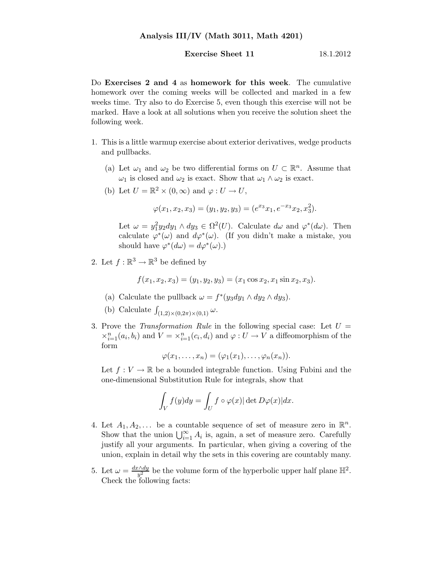**Exercise Sheet 11** 18.1.2012

Do Exercises 2 and 4 as homework for this week. The cumulative homework over the coming weeks will be collected and marked in a few weeks time. Try also to do Exercise 5, even though this exercise will not be marked. Have a look at all solutions when you receive the solution sheet the following week.

- 1. This is a little warmup exercise about exterior derivatives, wedge products and pullbacks.
	- (a) Let  $\omega_1$  and  $\omega_2$  be two differential forms on  $U \subset \mathbb{R}^n$ . Assume that  $\omega_1$  is closed and  $\omega_2$  is exact. Show that  $\omega_1 \wedge \omega_2$  is exact.
	- (b) Let  $U = \mathbb{R}^2 \times (0, \infty)$  and  $\varphi : U \to U$ ,

$$
\varphi(x_1, x_2, x_3) = (y_1, y_2, y_3) = (e^{x_3}x_1, e^{-x_3}x_2, x_3^2).
$$

Let  $\omega = y_1^2 y_2 dy_1 \wedge dy_3 \in \Omega^2(U)$ . Calculate  $d\omega$  and  $\varphi^*(d\omega)$ . Then calculate  $\varphi^*(\omega)$  and  $d\varphi^*(\omega)$ . (If you didn't make a mistake, you should have  $\varphi^*(d\omega) = d\varphi^*(\omega)$ .

2. Let  $f : \mathbb{R}^3 \to \mathbb{R}^3$  be defined by

$$
f(x_1, x_2, x_3) = (y_1, y_2, y_3) = (x_1 \cos x_2, x_1 \sin x_2, x_3).
$$

- (a) Calculate the pullback  $\omega = f^*(y_3 dy_1 \wedge dy_2 \wedge dy_3)$ .
- (b) Calculate  $\int_{(1,2)\times(0,2\pi)\times(0,1)} \omega$ .
- 3. Prove the Transformation Rule in the following special case: Let  $U =$  $\times_{i=1}^n (a_i, b_i)$  and  $V = \times_{i=1}^n (c_i, d_i)$  and  $\varphi: U \to V$  a diffeomorphism of the form

$$
\varphi(x_1,\ldots,x_n)=(\varphi_1(x_1),\ldots,\varphi_n(x_n)).
$$

Let  $f: V \to \mathbb{R}$  be a bounded integrable function. Using Fubini and the one-dimensional Substitution Rule for integrals, show that

$$
\int_{V} f(y) dy = \int_{U} f \circ \varphi(x) |\det D\varphi(x)| dx.
$$

- 4. Let  $A_1, A_2, \ldots$  be a countable sequence of set of measure zero in  $\mathbb{R}^n$ . Show that the union  $\bigcup_{i=1}^{\infty} A_i$  is, again, a set of measure zero. Carefully justify all your arguments. In particular, when giving a covering of the union, explain in detail why the sets in this covering are countably many.
- 5. Let  $\omega = \frac{dx \wedge dy}{u^2}$  $\frac{y \wedge dy}{y^2}$  be the volume form of the hyperbolic upper half plane  $\mathbb{H}^2$ . Check the following facts: